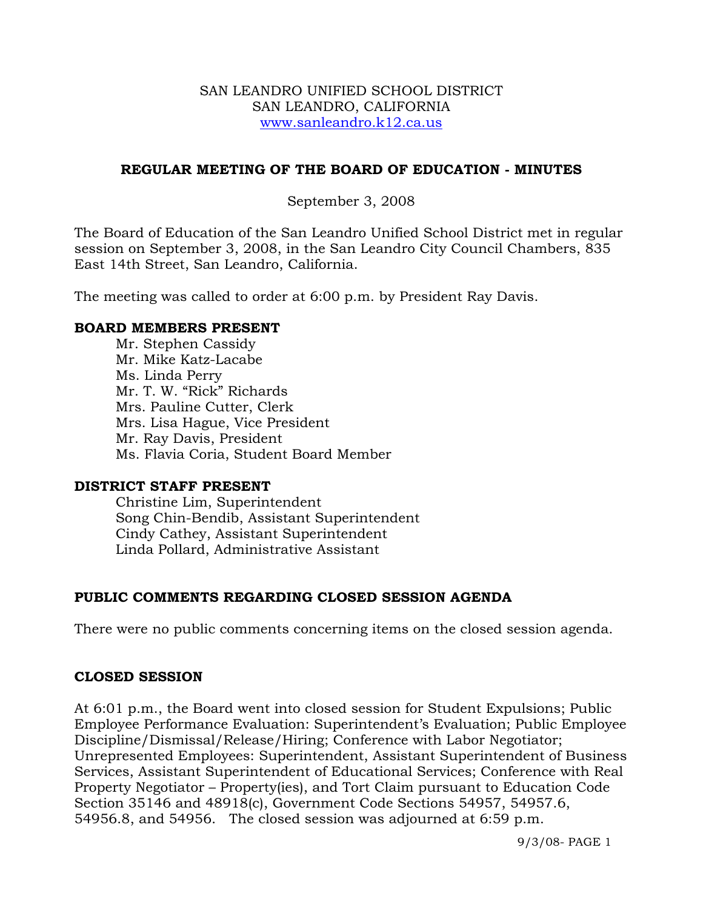### SAN LEANDRO UNIFIED SCHOOL DISTRICT SAN LEANDRO, CALIFORNIA www.sanleandro.k12.ca.us

### **REGULAR MEETING OF THE BOARD OF EDUCATION - MINUTES**

### September 3, 2008

The Board of Education of the San Leandro Unified School District met in regular session on September 3, 2008, in the San Leandro City Council Chambers, 835 East 14th Street, San Leandro, California.

The meeting was called to order at 6:00 p.m. by President Ray Davis.

### **BOARD MEMBERS PRESENT**

Mr. Stephen Cassidy Mr. Mike Katz-Lacabe Ms. Linda Perry Mr. T. W. "Rick" Richards Mrs. Pauline Cutter, Clerk Mrs. Lisa Hague, Vice President Mr. Ray Davis, President Ms. Flavia Coria, Student Board Member

### **DISTRICT STAFF PRESENT**

Christine Lim, Superintendent Song Chin-Bendib, Assistant Superintendent Cindy Cathey, Assistant Superintendent Linda Pollard, Administrative Assistant

## **PUBLIC COMMENTS REGARDING CLOSED SESSION AGENDA**

There were no public comments concerning items on the closed session agenda.

### **CLOSED SESSION**

At 6:01 p.m., the Board went into closed session for Student Expulsions; Public Employee Performance Evaluation: Superintendent's Evaluation; Public Employee Discipline/Dismissal/Release/Hiring; Conference with Labor Negotiator; Unrepresented Employees: Superintendent, Assistant Superintendent of Business Services, Assistant Superintendent of Educational Services; Conference with Real Property Negotiator – Property(ies), and Tort Claim pursuant to Education Code Section 35146 and 48918(c), Government Code Sections 54957, 54957.6, 54956.8, and 54956. The closed session was adjourned at 6:59 p.m.

9/3/08- PAGE 1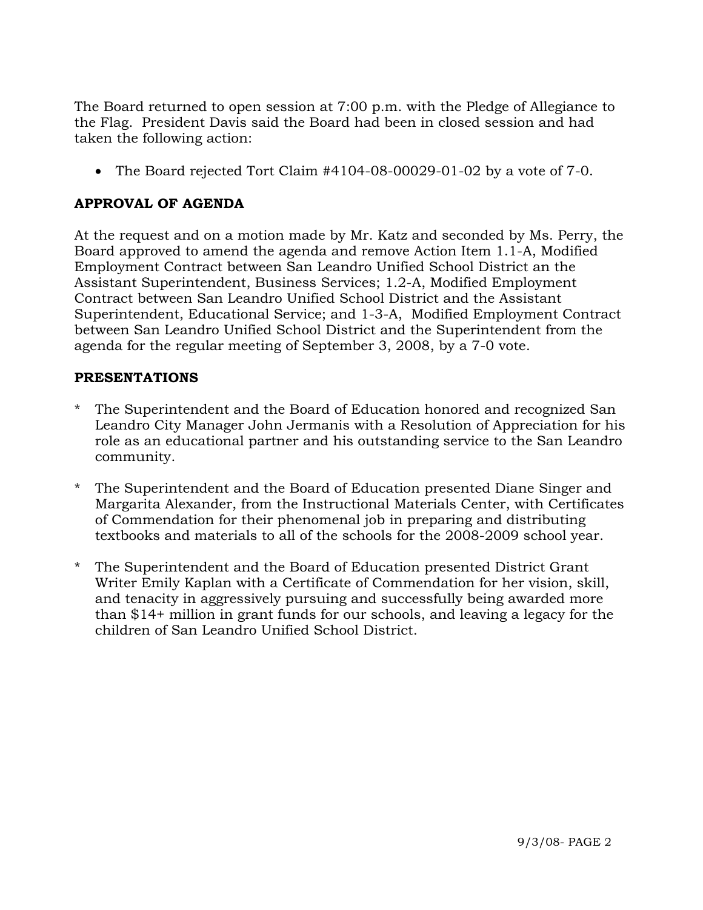The Board returned to open session at 7:00 p.m. with the Pledge of Allegiance to the Flag. President Davis said the Board had been in closed session and had taken the following action:

• The Board rejected Tort Claim #4104-08-00029-01-02 by a vote of 7-0.

# **APPROVAL OF AGENDA**

At the request and on a motion made by Mr. Katz and seconded by Ms. Perry, the Board approved to amend the agenda and remove Action Item 1.1-A, Modified Employment Contract between San Leandro Unified School District an the Assistant Superintendent, Business Services; 1.2-A, Modified Employment Contract between San Leandro Unified School District and the Assistant Superintendent, Educational Service; and 1-3-A, Modified Employment Contract between San Leandro Unified School District and the Superintendent from the agenda for the regular meeting of September 3, 2008, by a 7-0 vote.

## **PRESENTATIONS**

- The Superintendent and the Board of Education honored and recognized San Leandro City Manager John Jermanis with a Resolution of Appreciation for his role as an educational partner and his outstanding service to the San Leandro community.
- \* The Superintendent and the Board of Education presented Diane Singer and Margarita Alexander, from the Instructional Materials Center, with Certificates of Commendation for their phenomenal job in preparing and distributing textbooks and materials to all of the schools for the 2008-2009 school year.
- \* The Superintendent and the Board of Education presented District Grant Writer Emily Kaplan with a Certificate of Commendation for her vision, skill, and tenacity in aggressively pursuing and successfully being awarded more than \$14+ million in grant funds for our schools, and leaving a legacy for the children of San Leandro Unified School District.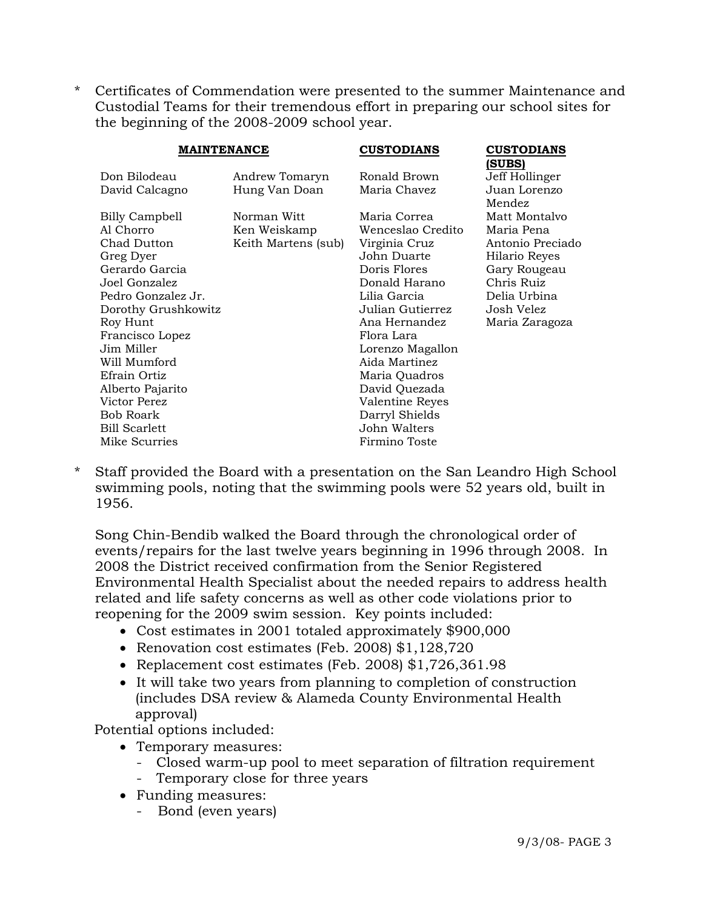\* Certificates of Commendation were presented to the summer Maintenance and Custodial Teams for their tremendous effort in preparing our school sites for the beginning of the 2008-2009 school year.

| <b>MAINTENANCE</b>                                                                                                                                                                                                                                                                            |                                                    | <b>CUSTODIANS</b>                                                                                                                                                                                                                                                                                 | <b>CUSTODIANS</b><br>(SUBS)                                                                                                                    |
|-----------------------------------------------------------------------------------------------------------------------------------------------------------------------------------------------------------------------------------------------------------------------------------------------|----------------------------------------------------|---------------------------------------------------------------------------------------------------------------------------------------------------------------------------------------------------------------------------------------------------------------------------------------------------|------------------------------------------------------------------------------------------------------------------------------------------------|
| Don Bilodeau<br>David Calcagno                                                                                                                                                                                                                                                                | Andrew Tomaryn<br>Hung Van Doan                    | Ronald Brown<br>Maria Chavez                                                                                                                                                                                                                                                                      | Jeff Hollinger<br>Juan Lorenzo<br>Mendez                                                                                                       |
| Billy Campbell<br>Al Chorro<br>Chad Dutton<br>Greg Dyer<br>Gerardo Garcia<br>Joel Gonzalez<br>Pedro Gonzalez Jr.<br>Dorothy Grushkowitz<br>Roy Hunt<br>Francisco Lopez<br>Jim Miller<br>Will Mumford<br>Efrain Ortiz<br>Alberto Pajarito<br>Victor Perez<br>Bob Roark<br><b>Bill Scarlett</b> | Norman Witt<br>Ken Weiskamp<br>Keith Martens (sub) | Maria Correa<br>Wenceslao Credito<br>Virginia Cruz<br>John Duarte<br>Doris Flores<br>Donald Harano<br>Lilia Garcia<br>Julian Gutierrez<br>Ana Hernandez<br>Flora Lara<br>Lorenzo Magallon<br>Aida Martinez<br>Maria Quadros<br>David Quezada<br>Valentine Reyes<br>Darryl Shields<br>John Walters | Matt Montalyo<br>Maria Pena<br>Antonio Preciado<br>Hilario Reyes<br>Gary Rougeau<br>Chris Ruiz<br>Delia Urbina<br>Josh Velez<br>Maria Zaragoza |
| Mike Scurries                                                                                                                                                                                                                                                                                 |                                                    | Firmino Toste                                                                                                                                                                                                                                                                                     |                                                                                                                                                |

Staff provided the Board with a presentation on the San Leandro High School swimming pools, noting that the swimming pools were 52 years old, built in 1956.

 Song Chin-Bendib walked the Board through the chronological order of events/repairs for the last twelve years beginning in 1996 through 2008. In 2008 the District received confirmation from the Senior Registered Environmental Health Specialist about the needed repairs to address health related and life safety concerns as well as other code violations prior to reopening for the 2009 swim session. Key points included:

- Cost estimates in 2001 totaled approximately \$900,000
- Renovation cost estimates (Feb. 2008) \$1,128,720
- Replacement cost estimates (Feb. 2008) \$1,726,361.98
- It will take two years from planning to completion of construction (includes DSA review & Alameda County Environmental Health approval)

Potential options included:

- Temporary measures:
	- Closed warm-up pool to meet separation of filtration requirement
	- Temporary close for three years
- Funding measures:
	- Bond (even years)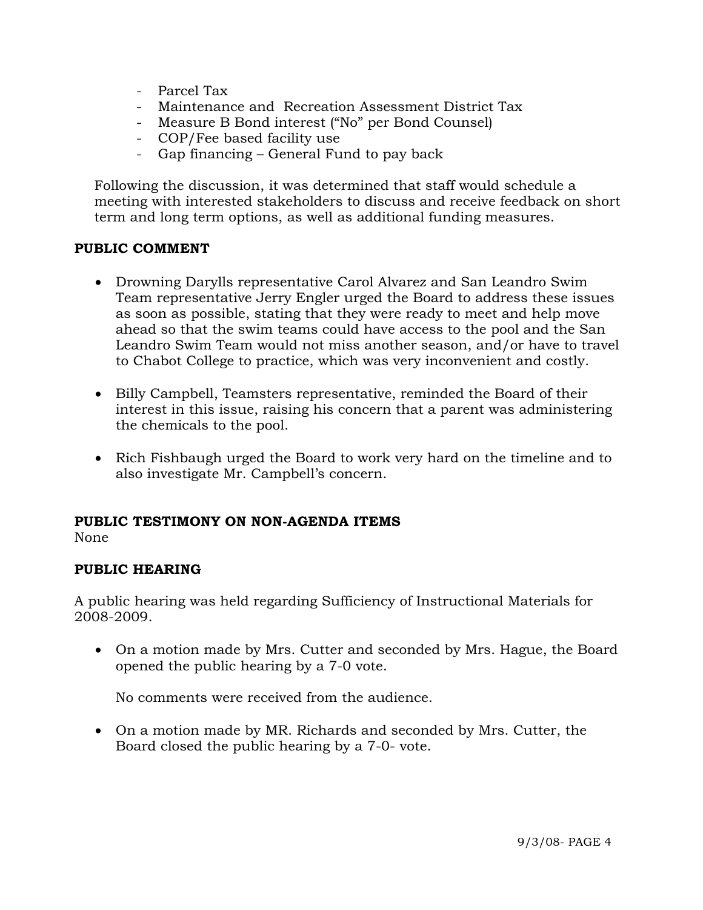- Parcel Tax
- Maintenance and Recreation Assessment District Tax
- Measure B Bond interest ("No" per Bond Counsel)
- COP/Fee based facility use
- Gap financing General Fund to pay back

 Following the discussion, it was determined that staff would schedule a meeting with interested stakeholders to discuss and receive feedback on short term and long term options, as well as additional funding measures.

### **PUBLIC COMMENT**

- Drowning Darylls representative Carol Alvarez and San Leandro Swim Team representative Jerry Engler urged the Board to address these issues as soon as possible, stating that they were ready to meet and help move ahead so that the swim teams could have access to the pool and the San Leandro Swim Team would not miss another season, and/or have to travel to Chabot College to practice, which was very inconvenient and costly.
- Billy Campbell, Teamsters representative, reminded the Board of their interest in this issue, raising his concern that a parent was administering the chemicals to the pool.
- Rich Fishbaugh urged the Board to work very hard on the timeline and to also investigate Mr. Campbell's concern.

# **PUBLIC TESTIMONY ON NON-AGENDA ITEMS**

None

## **PUBLIC HEARING**

A public hearing was held regarding Sufficiency of Instructional Materials for 2008-2009.

• On a motion made by Mrs. Cutter and seconded by Mrs. Hague, the Board opened the public hearing by a 7-0 vote.

No comments were received from the audience.

• On a motion made by MR. Richards and seconded by Mrs. Cutter, the Board closed the public hearing by a 7-0- vote.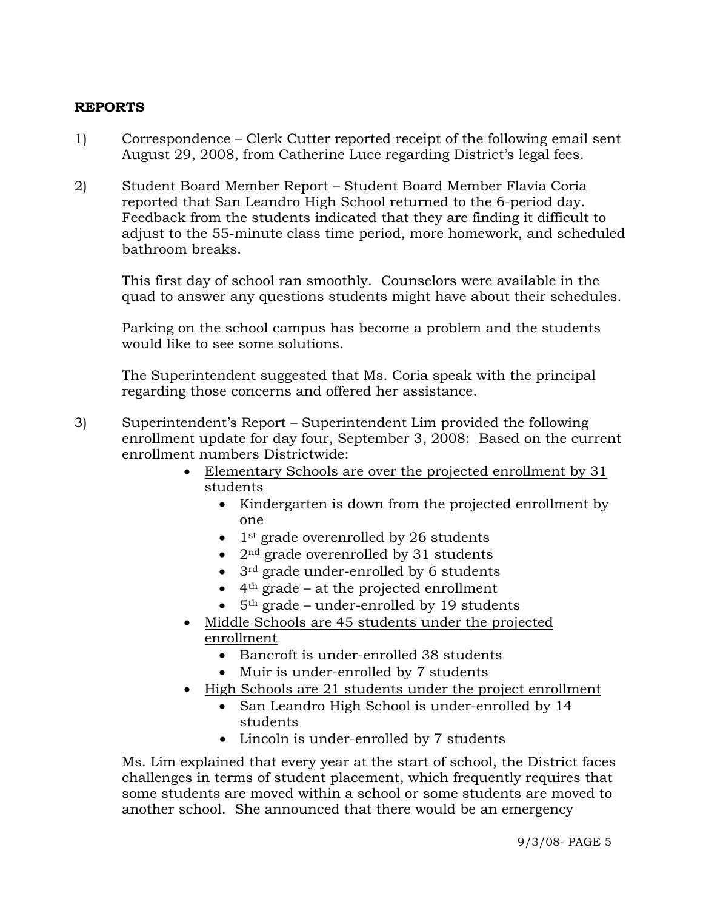## **REPORTS**

- 1) Correspondence Clerk Cutter reported receipt of the following email sent August 29, 2008, from Catherine Luce regarding District's legal fees.
- 2) Student Board Member Report Student Board Member Flavia Coria reported that San Leandro High School returned to the 6-period day. Feedback from the students indicated that they are finding it difficult to adjust to the 55-minute class time period, more homework, and scheduled bathroom breaks.

This first day of school ran smoothly. Counselors were available in the quad to answer any questions students might have about their schedules.

Parking on the school campus has become a problem and the students would like to see some solutions.

The Superintendent suggested that Ms. Coria speak with the principal regarding those concerns and offered her assistance.

- 3) Superintendent's Report Superintendent Lim provided the following enrollment update for day four, September 3, 2008: Based on the current enrollment numbers Districtwide:
	- Elementary Schools are over the projected enrollment by 31 students
		- Kindergarten is down from the projected enrollment by one
		- 1<sup>st</sup> grade overenrolled by 26 students
		- 2<sup>nd</sup> grade overenrolled by 31 students
		- 3rd grade under-enrolled by 6 students
		- $\bullet$  4<sup>th</sup> grade at the projected enrollment
		- $5<sup>th</sup>$  grade under-enrolled by 19 students
	- Middle Schools are 45 students under the projected enrollment
		- Bancroft is under-enrolled 38 students
		- Muir is under-enrolled by 7 students
	- High Schools are 21 students under the project enrollment
		- San Leandro High School is under-enrolled by 14 students
		- Lincoln is under-enrolled by 7 students

Ms. Lim explained that every year at the start of school, the District faces challenges in terms of student placement, which frequently requires that some students are moved within a school or some students are moved to another school. She announced that there would be an emergency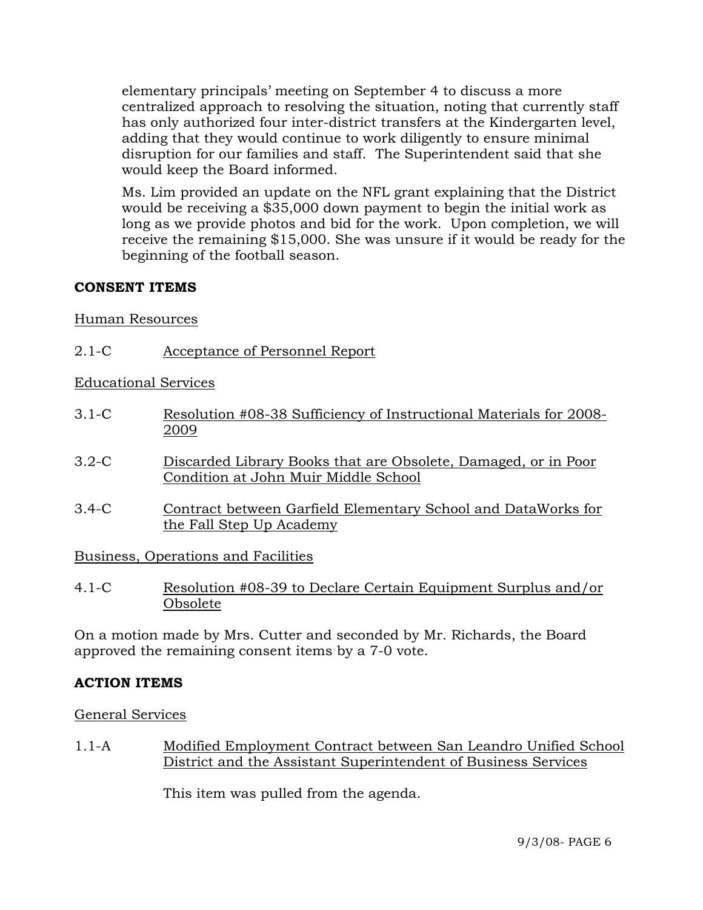elementary principals' meeting on September 4 to discuss a more centralized approach to resolving the situation, noting that currently staff has only authorized four inter-district transfers at the Kindergarten level, adding that they would continue to work diligently to ensure minimal disruption for our families and staff. The Superintendent said that she would keep the Board informed.

Ms. Lim provided an update on the NFL grant explaining that the District would be receiving a \$35,000 down payment to begin the initial work as long as we provide photos and bid for the work. Upon completion, we will receive the remaining \$15,000. She was unsure if it would be ready for the beginning of the football season.

## **CONSENT ITEMS**

Human Resources

2.1-C Acceptance of Personnel Report

Educational Services

- 3.1-C Resolution #08-38 Sufficiency of Instructional Materials for 2008- 2009
- 3.2-C Discarded Library Books that are Obsolete, Damaged, or in Poor Condition at John Muir Middle School
- 3.4-C Contract between Garfield Elementary School and DataWorks for the Fall Step Up Academy

Business, Operations and Facilities

4.1-C Resolution #08-39 to Declare Certain Equipment Surplus and/or Obsolete

On a motion made by Mrs. Cutter and seconded by Mr. Richards, the Board approved the remaining consent items by a 7-0 vote.

# **ACTION ITEMS**

General Services

1.1-A Modified Employment Contract between San Leandro Unified School District and the Assistant Superintendent of Business Services

This item was pulled from the agenda.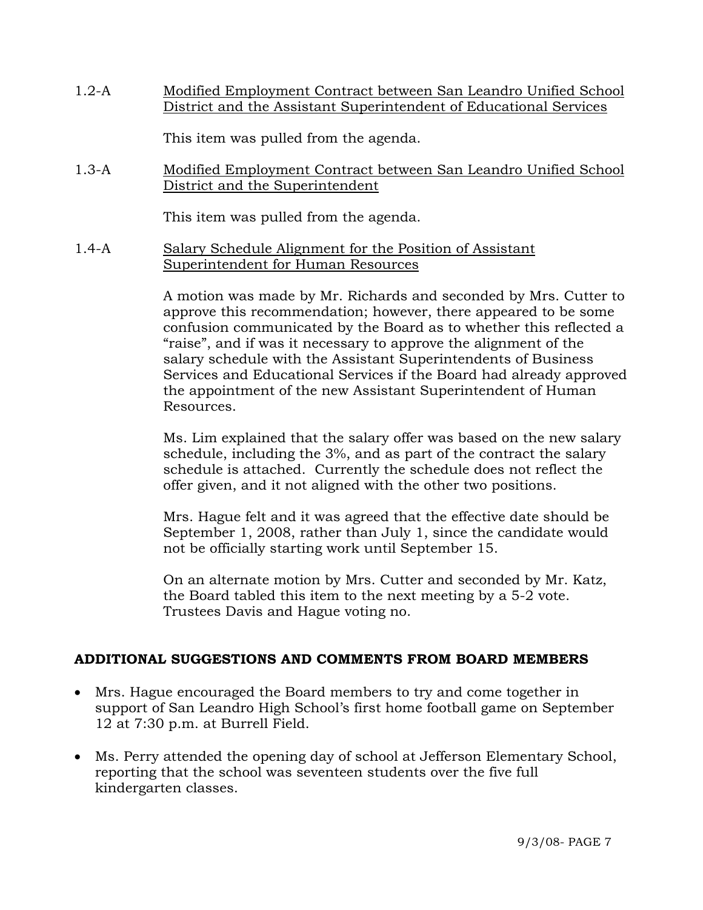1.2-A Modified Employment Contract between San Leandro Unified School District and the Assistant Superintendent of Educational Services

This item was pulled from the agenda.

1.3-A Modified Employment Contract between San Leandro Unified School District and the Superintendent

This item was pulled from the agenda.

1.4-A Salary Schedule Alignment for the Position of Assistant Superintendent for Human Resources

> A motion was made by Mr. Richards and seconded by Mrs. Cutter to approve this recommendation; however, there appeared to be some confusion communicated by the Board as to whether this reflected a "raise", and if was it necessary to approve the alignment of the salary schedule with the Assistant Superintendents of Business Services and Educational Services if the Board had already approved the appointment of the new Assistant Superintendent of Human Resources.

Ms. Lim explained that the salary offer was based on the new salary schedule, including the 3%, and as part of the contract the salary schedule is attached. Currently the schedule does not reflect the offer given, and it not aligned with the other two positions.

Mrs. Hague felt and it was agreed that the effective date should be September 1, 2008, rather than July 1, since the candidate would not be officially starting work until September 15.

On an alternate motion by Mrs. Cutter and seconded by Mr. Katz, the Board tabled this item to the next meeting by a 5-2 vote. Trustees Davis and Hague voting no.

# **ADDITIONAL SUGGESTIONS AND COMMENTS FROM BOARD MEMBERS**

- Mrs. Hague encouraged the Board members to try and come together in support of San Leandro High School's first home football game on September 12 at 7:30 p.m. at Burrell Field.
- Ms. Perry attended the opening day of school at Jefferson Elementary School, reporting that the school was seventeen students over the five full kindergarten classes.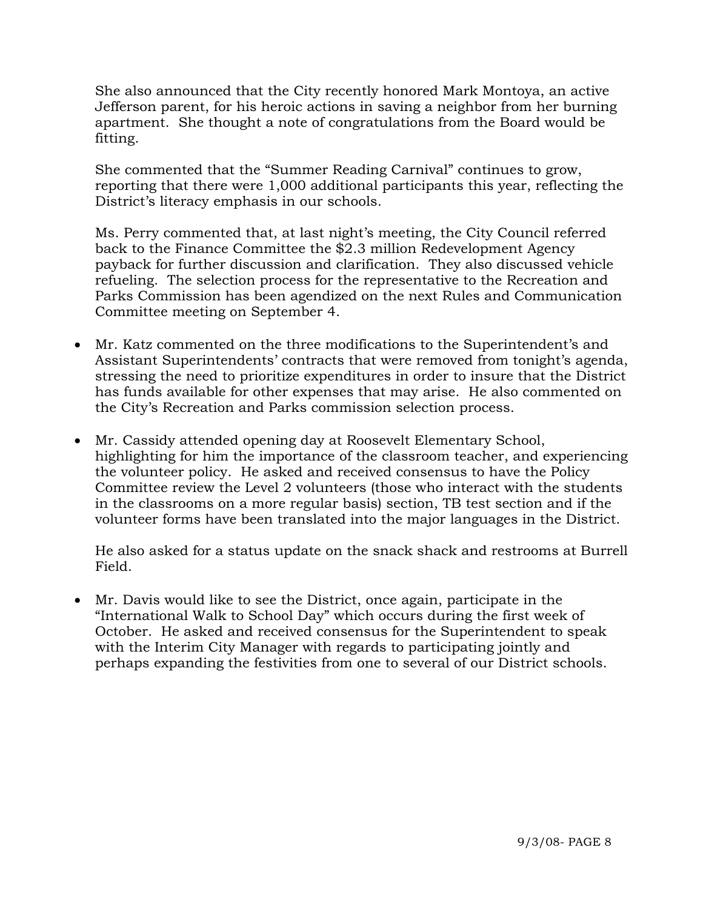She also announced that the City recently honored Mark Montoya, an active Jefferson parent, for his heroic actions in saving a neighbor from her burning apartment. She thought a note of congratulations from the Board would be fitting.

She commented that the "Summer Reading Carnival" continues to grow, reporting that there were 1,000 additional participants this year, reflecting the District's literacy emphasis in our schools.

Ms. Perry commented that, at last night's meeting, the City Council referred back to the Finance Committee the \$2.3 million Redevelopment Agency payback for further discussion and clarification. They also discussed vehicle refueling. The selection process for the representative to the Recreation and Parks Commission has been agendized on the next Rules and Communication Committee meeting on September 4.

- Mr. Katz commented on the three modifications to the Superintendent's and Assistant Superintendents' contracts that were removed from tonight's agenda, stressing the need to prioritize expenditures in order to insure that the District has funds available for other expenses that may arise. He also commented on the City's Recreation and Parks commission selection process.
- Mr. Cassidy attended opening day at Roosevelt Elementary School, highlighting for him the importance of the classroom teacher, and experiencing the volunteer policy. He asked and received consensus to have the Policy Committee review the Level 2 volunteers (those who interact with the students in the classrooms on a more regular basis) section, TB test section and if the volunteer forms have been translated into the major languages in the District.

He also asked for a status update on the snack shack and restrooms at Burrell Field.

• Mr. Davis would like to see the District, once again, participate in the "International Walk to School Day" which occurs during the first week of October. He asked and received consensus for the Superintendent to speak with the Interim City Manager with regards to participating jointly and perhaps expanding the festivities from one to several of our District schools.